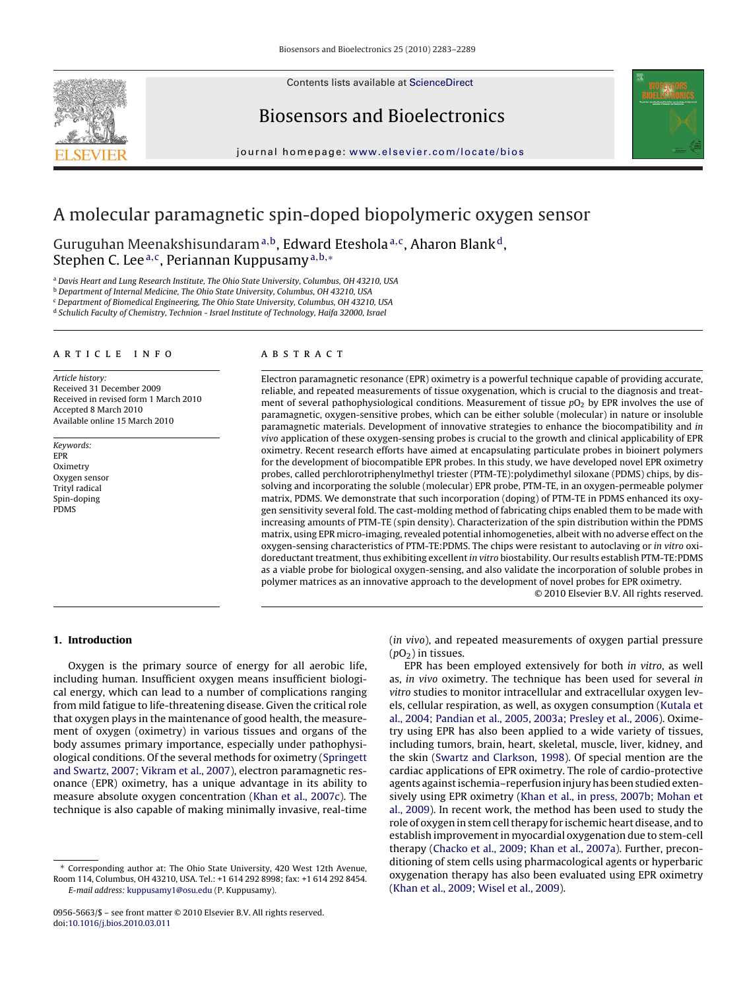Contents lists available at [ScienceDirect](http://www.sciencedirect.com/science/journal/09565663)



## Biosensors and Bioelectronics

journal homepage: [www.elsevier.com/locate/bios](http://www.elsevier.com/locate/bios)



# A molecular paramagnetic spin-doped biopolymeric oxygen sensor

Guruguhan Meenakshisundaram<sup>a,b</sup>, Edward Eteshola<sup>a,c</sup>, Aharon Blank<sup>d</sup>, Stephen C. Lee<sup>a,c</sup>, Periannan Kuppusamy<sup>a,b,\*</sup>

<sup>a</sup> Davis Heart and Lung Research Institute, The Ohio State University, Columbus, OH 43210, USA

<sup>b</sup> Department of Internal Medicine, The Ohio State University, Columbus, OH 43210, USA

<sup>c</sup> Department of Biomedical Engineering, The Ohio State University, Columbus, OH 43210, USA

<sup>d</sup> Schulich Faculty of Chemistry, Technion - Israel Institute of Technology, Haifa 32000, Israel

#### article info

Article history: Received 31 December 2009 Received in revised form 1 March 2010 Accepted 8 March 2010 Available online 15 March 2010

Keywords: EPR Oximetry Oxygen sensor Trityl radical Spin-doping PDMS

#### ABSTRACT

Electron paramagnetic resonance (EPR) oximetry is a powerful technique capable of providing accurate, reliable, and repeated measurements of tissue oxygenation, which is crucial to the diagnosis and treatment of several pathophysiological conditions. Measurement of tissue  $pO<sub>2</sub>$  by EPR involves the use of paramagnetic, oxygen-sensitive probes, which can be either soluble (molecular) in nature or insoluble paramagnetic materials. Development of innovative strategies to enhance the biocompatibility and in vivo application of these oxygen-sensing probes is crucial to the growth and clinical applicability of EPR oximetry. Recent research efforts have aimed at encapsulating particulate probes in bioinert polymers for the development of biocompatible EPR probes. In this study, we have developed novel EPR oximetry probes, called perchlorotriphenylmethyl triester (PTM-TE):polydimethyl siloxane (PDMS) chips, by dissolving and incorporating the soluble (molecular) EPR probe, PTM-TE, in an oxygen-permeable polymer matrix, PDMS. We demonstrate that such incorporation (doping) of PTM-TE in PDMS enhanced its oxygen sensitivity several fold. The cast-molding method of fabricating chips enabled them to be made with increasing amounts of PTM-TE (spin density). Characterization of the spin distribution within the PDMS matrix, using EPR micro-imaging, revealed potential inhomogeneties, albeit with no adverse effect on the oxygen-sensing characteristics of PTM-TE:PDMS. The chips were resistant to autoclaving or in vitro oxidoreductant treatment, thus exhibiting excellent in vitro biostability. Our results establish PTM-TE:PDMS as a viable probe for biological oxygen-sensing, and also validate the incorporation of soluble probes in polymer matrices as an innovative approach to the development of novel probes for EPR oximetry.

© 2010 Elsevier B.V. All rights reserved.

## **1. Introduction**

Oxygen is the primary source of energy for all aerobic life, including human. Insufficient oxygen means insufficient biological energy, which can lead to a number of complications ranging from mild fatigue to life-threatening disease. Given the critical role that oxygen plays in the maintenance of good health, the measurement of oxygen (oximetry) in various tissues and organs of the body assumes primary importance, especially under pathophysiological conditions. Of the several methods for oximetry [\(Springett](#page-6-0) [and Swartz, 2007; Vikram et al., 2007\),](#page-6-0) electron paramagnetic resonance (EPR) oximetry, has a unique advantage in its ability to measure absolute oxygen concentration [\(Khan et al., 2007c\).](#page-5-0) The technique is also capable of making minimally invasive, real-time

∗ Corresponding author at: The Ohio State University, 420 West 12th Avenue, Room 114, Columbus, OH 43210, USA. Tel.: +1 614 292 8998; fax: +1 614 292 8454. E-mail address: [kuppusamy1@osu.edu](mailto:kuppusamy1@osu.edu) (P. Kuppusamy).

(in vivo), and repeated measurements of oxygen partial pressure  $(pO<sub>2</sub>)$  in tissues.

EPR has been employed extensively for both in vitro, as well as, in vivo oximetry. The technique has been used for several in vitro studies to monitor intracellular and extracellular oxygen levels, cellular respiration, as well, as oxygen consumption ([Kutala et](#page-5-0) [al., 2004; Pandian et al., 2005, 2003a; Presley et al., 2006\).](#page-5-0) Oximetry using EPR has also been applied to a wide variety of tissues, including tumors, brain, heart, skeletal, muscle, liver, kidney, and the skin [\(Swartz and Clarkson, 1998\).](#page-6-0) Of special mention are the cardiac applications of EPR oximetry. The role of cardio-protective agents against ischemia–reperfusion injury has been studied extensively using EPR oximetry ([Khan et al., in press, 2007b; Mohan et](#page-5-0) [al., 2009\).](#page-5-0) In recent work, the method has been used to study the role of oxygen in stem cell therapy for ischemic heart disease, and to establish improvement in myocardial oxygenation due to stem-cell therapy [\(Chacko et al., 2009; Khan et al., 2007a\).](#page-5-0) Further, preconditioning of stem cells using pharmacological agents or hyperbaric oxygenation therapy has also been evaluated using EPR oximetry [\(Khan et al., 2009; Wisel et al., 2009\).](#page-5-0)

<sup>0956-5663/\$ –</sup> see front matter © 2010 Elsevier B.V. All rights reserved. doi:[10.1016/j.bios.2010.03.011](dx.doi.org/10.1016/j.bios.2010.03.011)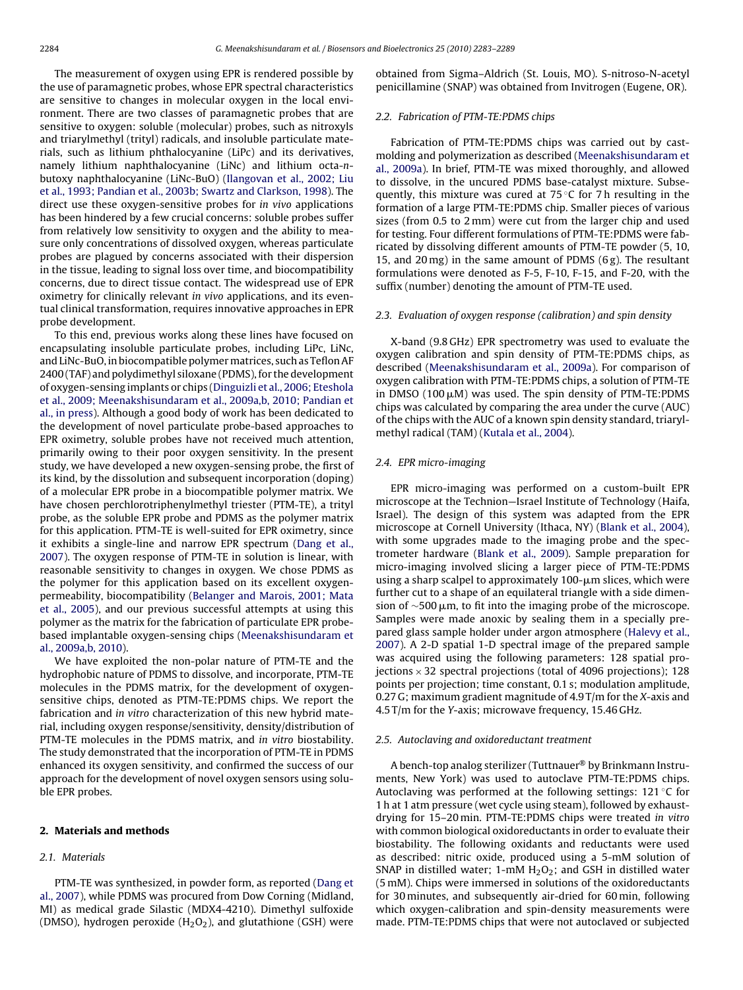The measurement of oxygen using EPR is rendered possible by the use of paramagnetic probes, whose EPR spectral characteristics are sensitive to changes in molecular oxygen in the local environment. There are two classes of paramagnetic probes that are sensitive to oxygen: soluble (molecular) probes, such as nitroxyls and triarylmethyl (trityl) radicals, and insoluble particulate materials, such as lithium phthalocyanine (LiPc) and its derivatives, namely lithium naphthalocyanine (LiNc) and lithium octa-nbutoxy naphthalocyanine (LiNc-BuO) ([Ilangovan et al., 2002; Liu](#page-5-0) [et al., 1993; Pandian et al., 2003b; Swartz and Clarkson, 1998\).](#page-5-0) The direct use these oxygen-sensitive probes for in vivo applications has been hindered by a few crucial concerns: soluble probes suffer from relatively low sensitivity to oxygen and the ability to measure only concentrations of dissolved oxygen, whereas particulate probes are plagued by concerns associated with their dispersion in the tissue, leading to signal loss over time, and biocompatibility concerns, due to direct tissue contact. The widespread use of EPR oximetry for clinically relevant in vivo applications, and its eventual clinical transformation, requires innovative approaches in EPR probe development.

To this end, previous works along these lines have focused on encapsulating insoluble particulate probes, including LiPc, LiNc, and LiNc-BuO, in biocompatible polymer matrices, such as Teflon AF 2400 (TAF) and polydimethyl siloxane (PDMS), for the development of oxygen-sensing implants or chips [\(Dinguizli et al., 2006; Eteshola](#page-5-0) [et al., 2009; Meenakshisundaram et al., 2009a,b, 2010; Pandian et](#page-5-0) [al., in press\).](#page-5-0) Although a good body of work has been dedicated to the development of novel particulate probe-based approaches to EPR oximetry, soluble probes have not received much attention, primarily owing to their poor oxygen sensitivity. In the present study, we have developed a new oxygen-sensing probe, the first of its kind, by the dissolution and subsequent incorporation (doping) of a molecular EPR probe in a biocompatible polymer matrix. We have chosen perchlorotriphenylmethyl triester (PTM-TE), a trityl probe, as the soluble EPR probe and PDMS as the polymer matrix for this application. PTM-TE is well-suited for EPR oximetry, since it exhibits a single-line and narrow EPR spectrum [\(Dang et al.,](#page-5-0) [2007\).](#page-5-0) The oxygen response of PTM-TE in solution is linear, with reasonable sensitivity to changes in oxygen. We chose PDMS as the polymer for this application based on its excellent oxygenpermeability, biocompatibility ([Belanger and Marois, 2001; Mata](#page-5-0) [et al., 2005\),](#page-5-0) and our previous successful attempts at using this polymer as the matrix for the fabrication of particulate EPR probebased implantable oxygen-sensing chips ([Meenakshisundaram et](#page-5-0) [al., 2009a,b, 2010\).](#page-5-0)

We have exploited the non-polar nature of PTM-TE and the hydrophobic nature of PDMS to dissolve, and incorporate, PTM-TE molecules in the PDMS matrix, for the development of oxygensensitive chips, denoted as PTM-TE:PDMS chips. We report the fabrication and in vitro characterization of this new hybrid material, including oxygen response/sensitivity, density/distribution of PTM-TE molecules in the PDMS matrix, and in vitro biostability. The study demonstrated that the incorporation of PTM-TE in PDMS enhanced its oxygen sensitivity, and confirmed the success of our approach for the development of novel oxygen sensors using soluble EPR probes.

#### **2. Materials and methods**

#### 2.1. Materials

PTM-TE was synthesized, in powder form, as reported [\(Dang et](#page-5-0) [al., 2007\),](#page-5-0) while PDMS was procured from Dow Corning (Midland, MI) as medical grade Silastic (MDX4-4210). Dimethyl sulfoxide (DMSO), hydrogen peroxide  $(H<sub>2</sub>O<sub>2</sub>)$ , and glutathione (GSH) were obtained from Sigma–Aldrich (St. Louis, MO). S-nitroso-N-acetyl penicillamine (SNAP) was obtained from Invitrogen (Eugene, OR).

## 2.2. Fabrication of PTM-TE:PDMS chips

Fabrication of PTM-TE:PDMS chips was carried out by castmolding and polymerization as described ([Meenakshisundaram et](#page-5-0) [al., 2009a\).](#page-5-0) In brief, PTM-TE was mixed thoroughly, and allowed to dissolve, in the uncured PDMS base-catalyst mixture. Subsequently, this mixture was cured at  $75^{\circ}$ C for 7 h resulting in the formation of a large PTM-TE:PDMS chip. Smaller pieces of various sizes (from 0.5 to 2 mm) were cut from the larger chip and used for testing. Four different formulations of PTM-TE:PDMS were fabricated by dissolving different amounts of PTM-TE powder (5, 10, 15, and 20 mg) in the same amount of PDMS (6 g). The resultant formulations were denoted as F-5, F-10, F-15, and F-20, with the suffix (number) denoting the amount of PTM-TE used.

#### 2.3. Evaluation of oxygen response (calibration) and spin density

X-band (9.8 GHz) EPR spectrometry was used to evaluate the oxygen calibration and spin density of PTM-TE:PDMS chips, as described [\(Meenakshisundaram et al., 2009a\).](#page-5-0) For comparison of oxygen calibration with PTM-TE:PDMS chips, a solution of PTM-TE in DMSO (100  $\mu$ M) was used. The spin density of PTM-TE:PDMS chips was calculated by comparing the area under the curve (AUC) of the chips with the AUC of a known spin density standard, triarylmethyl radical (TAM) ([Kutala et al., 2004\).](#page-5-0)

#### 2.4. EPR micro-imaging

EPR micro-imaging was performed on a custom-built EPR microscope at the Technion—Israel Institute of Technology (Haifa, Israel). The design of this system was adapted from the EPR microscope at Cornell University (Ithaca, NY) [\(Blank et al., 2004\),](#page-5-0) with some upgrades made to the imaging probe and the spectrometer hardware ([Blank et al., 2009\).](#page-5-0) Sample preparation for micro-imaging involved slicing a larger piece of PTM-TE:PDMS using a sharp scalpel to approximately 100-µm slices, which were further cut to a shape of an equilateral triangle with a side dimension of  $\sim$ 500 µm, to fit into the imaging probe of the microscope. Samples were made anoxic by sealing them in a specially prepared glass sample holder under argon atmosphere ([Halevy et al.,](#page-5-0) [2007\).](#page-5-0) A 2-D spatial 1-D spectral image of the prepared sample was acquired using the following parameters: 128 spatial projections  $\times$  32 spectral projections (total of 4096 projections); 128 points per projection; time constant, 0.1 s; modulation amplitude, 0.27 G; maximum gradient magnitude of 4.9 T/m for the X-axis and 4.5 T/m for the Y-axis; microwave frequency, 15.46 GHz.

#### 2.5. Autoclaving and oxidoreductant treatment

A bench-top analog sterilizer (Tuttnauer® by Brinkmann Instruments, New York) was used to autoclave PTM-TE:PDMS chips. Autoclaving was performed at the following settings: 121 ◦C for 1 h at 1 atm pressure (wet cycle using steam), followed by exhaustdrying for 15–20 min. PTM-TE:PDMS chips were treated in vitro with common biological oxidoreductants in order to evaluate their biostability. The following oxidants and reductants were used as described: nitric oxide, produced using a 5-mM solution of SNAP in distilled water; 1-mM  $H_2O_2$ ; and GSH in distilled water (5 mM). Chips were immersed in solutions of the oxidoreductants for 30 minutes, and subsequently air-dried for 60 min, following which oxygen-calibration and spin-density measurements were made. PTM-TE:PDMS chips that were not autoclaved or subjected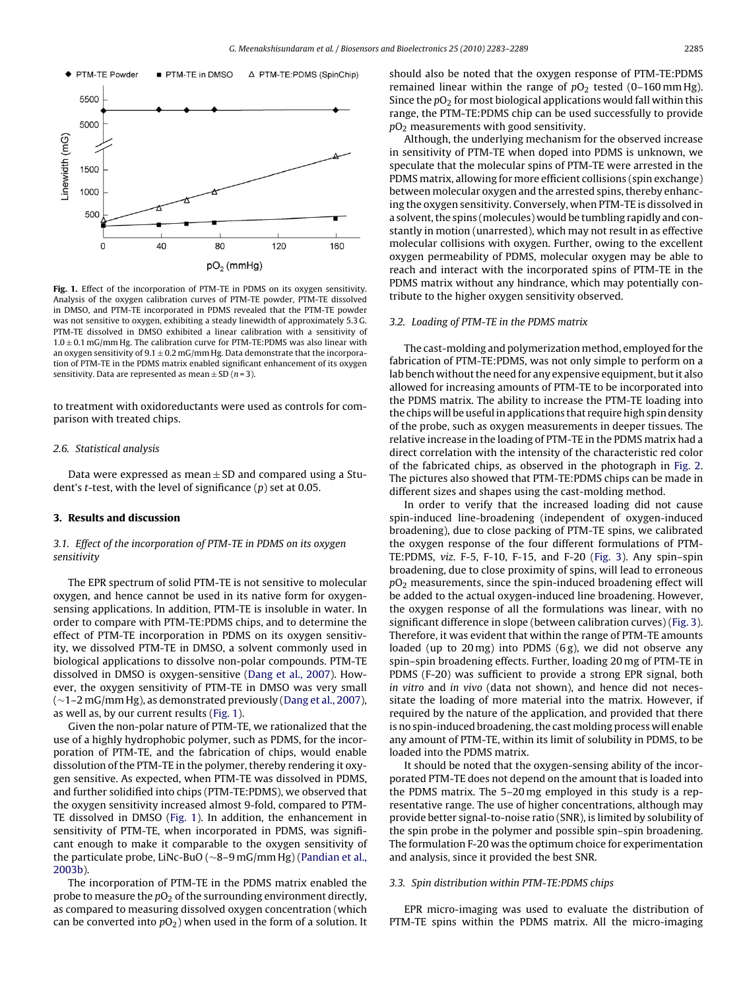<span id="page-2-0"></span>

Fig. 1. Effect of the incorporation of PTM-TE in PDMS on its oxygen sensitivity. Analysis of the oxygen calibration curves of PTM-TE powder, PTM-TE dissolved in DMSO, and PTM-TE incorporated in PDMS revealed that the PTM-TE powder was not sensitive to oxygen, exhibiting a steady linewidth of approximately 5.3 G. PTM-TE dissolved in DMSO exhibited a linear calibration with a sensitivity of  $1.0 \pm 0.1$  mG/mm Hg. The calibration curve for PTM-TE:PDMS was also linear with an oxygen sensitivity of  $9.1 \pm 0.2$  mG/mm Hg. Data demonstrate that the incorporation of PTM-TE in the PDMS matrix enabled significant enhancement of its oxygen sensitivity. Data are represented as mean  $\pm$  SD (n = 3).

to treatment with oxidoreductants were used as controls for comparison with treated chips.

## 2.6. Statistical analysis

Data were expressed as mean  $\pm$  SD and compared using a Student's *t*-test, with the level of significance  $(p)$  set at 0.05.

#### **3. Results and discussion**

## 3.1. Effect of the incorporation of PTM-TE in PDMS on its oxygen sensitivity

The EPR spectrum of solid PTM-TE is not sensitive to molecular oxygen, and hence cannot be used in its native form for oxygensensing applications. In addition, PTM-TE is insoluble in water. In order to compare with PTM-TE:PDMS chips, and to determine the effect of PTM-TE incorporation in PDMS on its oxygen sensitivity, we dissolved PTM-TE in DMSO, a solvent commonly used in biological applications to dissolve non-polar compounds. PTM-TE dissolved in DMSO is oxygen-sensitive ([Dang et al., 2007\).](#page-5-0) However, the oxygen sensitivity of PTM-TE in DMSO was very small (∼1–2 mG/mm Hg), as demonstrated previously ([Dang et al., 2007\),](#page-5-0) as well as, by our current results (Fig. 1).

Given the non-polar nature of PTM-TE, we rationalized that the use of a highly hydrophobic polymer, such as PDMS, for the incorporation of PTM-TE, and the fabrication of chips, would enable dissolution of the PTM-TE in the polymer, thereby rendering it oxygen sensitive. As expected, when PTM-TE was dissolved in PDMS, and further solidified into chips (PTM-TE:PDMS), we observed that the oxygen sensitivity increased almost 9-fold, compared to PTM-TE dissolved in DMSO (Fig. 1). In addition, the enhancement in sensitivity of PTM-TE, when incorporated in PDMS, was significant enough to make it comparable to the oxygen sensitivity of the particulate probe, LiNc-BuO (∼8–9 mG/mm Hg) ([Pandian et al.,](#page-6-0) [2003b\).](#page-6-0)

The incorporation of PTM-TE in the PDMS matrix enabled the probe to measure the  $pO<sub>2</sub>$  of the surrounding environment directly, as compared to measuring dissolved oxygen concentration (which can be converted into  $pO<sub>2</sub>$ ) when used in the form of a solution. It should also be noted that the oxygen response of PTM-TE:PDMS remained linear within the range of  $pO<sub>2</sub>$  tested (0–160 mm Hg). Since the  $pO_2$  for most biological applications would fall within this range, the PTM-TE:PDMS chip can be used successfully to provide  $pO<sub>2</sub>$  measurements with good sensitivity.

Although, the underlying mechanism for the observed increase in sensitivity of PTM-TE when doped into PDMS is unknown, we speculate that the molecular spins of PTM-TE were arrested in the PDMS matrix, allowing for more efficient collisions (spin exchange) between molecular oxygen and the arrested spins, thereby enhancing the oxygen sensitivity. Conversely, when PTM-TE is dissolved in a solvent, the spins (molecules) would be tumbling rapidly and constantly in motion (unarrested), which may not result in as effective molecular collisions with oxygen. Further, owing to the excellent oxygen permeability of PDMS, molecular oxygen may be able to reach and interact with the incorporated spins of PTM-TE in the PDMS matrix without any hindrance, which may potentially contribute to the higher oxygen sensitivity observed.

#### 3.2. Loading of PTM-TE in the PDMS matrix

The cast-molding and polymerization method, employed for the fabrication of PTM-TE:PDMS, was not only simple to perform on a lab bench without the need for any expensive equipment, but it also allowed for increasing amounts of PTM-TE to be incorporated into the PDMS matrix. The ability to increase the PTM-TE loading into the chips will be useful in applications that require high spin density of the probe, such as oxygen measurements in deeper tissues. The relative increase in the loading of PTM-TE in the PDMS matrix had a direct correlation with the intensity of the characteristic red color of the fabricated chips, as observed in the photograph in [Fig. 2.](#page-3-0) The pictures also showed that PTM-TE:PDMS chips can be made in different sizes and shapes using the cast-molding method.

In order to verify that the increased loading did not cause spin-induced line-broadening (independent of oxygen-induced broadening), due to close packing of PTM-TE spins, we calibrated the oxygen response of the four different formulations of PTM-TE:PDMS, viz. F-5, F-10, F-15, and F-20 ([Fig. 3\).](#page-3-0) Any spin–spin broadening, due to close proximity of spins, will lead to erroneous  $pO<sub>2</sub>$  measurements, since the spin-induced broadening effect will be added to the actual oxygen-induced line broadening. However, the oxygen response of all the formulations was linear, with no significant difference in slope (between calibration curves) [\(Fig. 3\).](#page-3-0) Therefore, it was evident that within the range of PTM-TE amounts loaded (up to 20 mg) into PDMS (6 g), we did not observe any spin–spin broadening effects. Further, loading 20 mg of PTM-TE in PDMS (F-20) was sufficient to provide a strong EPR signal, both in vitro and in vivo (data not shown), and hence did not necessitate the loading of more material into the matrix. However, if required by the nature of the application, and provided that there is no spin-induced broadening, the cast molding process will enable any amount of PTM-TE, within its limit of solubility in PDMS, to be loaded into the PDMS matrix.

It should be noted that the oxygen-sensing ability of the incorporated PTM-TE does not depend on the amount that is loaded into the PDMS matrix. The 5–20 mg employed in this study is a representative range. The use of higher concentrations, although may provide better signal-to-noise ratio (SNR), is limited by solubility of the spin probe in the polymer and possible spin–spin broadening. The formulation F-20 was the optimum choice for experimentation and analysis, since it provided the best SNR.

### 3.3. Spin distribution within PTM-TE:PDMS chips

EPR micro-imaging was used to evaluate the distribution of PTM-TE spins within the PDMS matrix. All the micro-imaging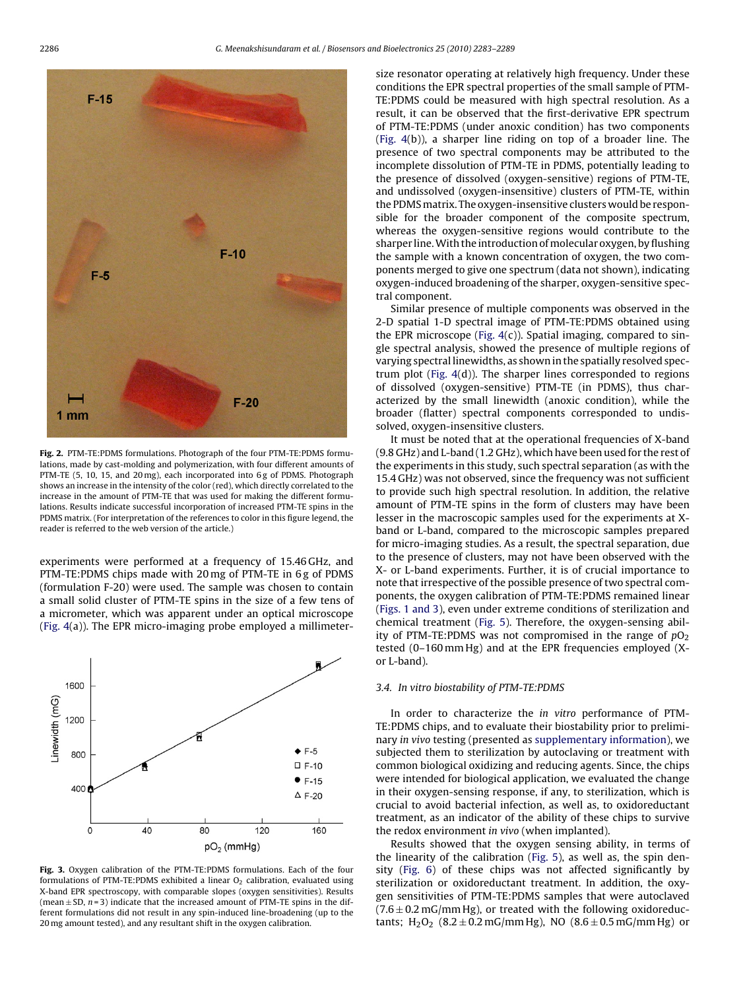<span id="page-3-0"></span>

**Fig. 2.** PTM-TE:PDMS formulations. Photograph of the four PTM-TE:PDMS formulations, made by cast-molding and polymerization, with four different amounts of PTM-TE (5, 10, 15, and 20 mg), each incorporated into 6 g of PDMS. Photograph shows an increase in the intensity of the color (red), which directly correlated to the increase in the amount of PTM-TE that was used for making the different formulations. Results indicate successful incorporation of increased PTM-TE spins in the PDMS matrix. (For interpretation of the references to color in this figure legend, the reader is referred to the web version of the article.)

experiments were performed at a frequency of 15.46 GHz, and PTM-TE:PDMS chips made with 20 mg of PTM-TE in 6 g of PDMS (formulation F-20) were used. The sample was chosen to contain a small solid cluster of PTM-TE spins in the size of a few tens of a micrometer, which was apparent under an optical microscope ([Fig. 4\(a](#page-4-0))). The EPR micro-imaging probe employed a millimeter-



**Fig. 3.** Oxygen calibration of the PTM-TE:PDMS formulations. Each of the four formulations of PTM-TE:PDMS exhibited a linear  $O<sub>2</sub>$  calibration, evaluated using X-band EPR spectroscopy, with comparable slopes (oxygen sensitivities). Results (mean  $\pm$  SD, n = 3) indicate that the increased amount of PTM-TE spins in the different formulations did not result in any spin-induced line-broadening (up to the 20 mg amount tested), and any resultant shift in the oxygen calibration.

size resonator operating at relatively high frequency. Under these conditions the EPR spectral properties of the small sample of PTM-TE:PDMS could be measured with high spectral resolution. As a result, it can be observed that the first-derivative EPR spectrum of PTM-TE:PDMS (under anoxic condition) has two components [\(Fig. 4\(](#page-4-0)b)), a sharper line riding on top of a broader line. The presence of two spectral components may be attributed to the incomplete dissolution of PTM-TE in PDMS, potentially leading to the presence of dissolved (oxygen-sensitive) regions of PTM-TE, and undissolved (oxygen-insensitive) clusters of PTM-TE, within the PDMS matrix. The oxygen-insensitive clusters would be responsible for the broader component of the composite spectrum, whereas the oxygen-sensitive regions would contribute to the sharper line. With the introduction of molecular oxygen, by flushing the sample with a known concentration of oxygen, the two components merged to give one spectrum (data not shown), indicating oxygen-induced broadening of the sharper, oxygen-sensitive spectral component.

Similar presence of multiple components was observed in the 2-D spatial 1-D spectral image of PTM-TE:PDMS obtained using the EPR microscope ([Fig. 4\(c](#page-4-0))). Spatial imaging, compared to single spectral analysis, showed the presence of multiple regions of varying spectral linewidths, as shown in the spatially resolved spectrum plot ([Fig. 4\(d](#page-4-0))). The sharper lines corresponded to regions of dissolved (oxygen-sensitive) PTM-TE (in PDMS), thus characterized by the small linewidth (anoxic condition), while the broader (flatter) spectral components corresponded to undissolved, oxygen-insensitive clusters.

It must be noted that at the operational frequencies of X-band (9.8 GHz) and L-band (1.2 GHz), which have been used for the rest of the experiments in this study, such spectral separation (as with the 15.4 GHz) was not observed, since the frequency was not sufficient to provide such high spectral resolution. In addition, the relative amount of PTM-TE spins in the form of clusters may have been lesser in the macroscopic samples used for the experiments at Xband or L-band, compared to the microscopic samples prepared for micro-imaging studies. As a result, the spectral separation, due to the presence of clusters, may not have been observed with the X- or L-band experiments. Further, it is of crucial importance to note that irrespective of the possible presence of two spectral components, the oxygen calibration of PTM-TE:PDMS remained linear [\(Figs. 1 and 3\),](#page-2-0) even under extreme conditions of sterilization and chemical treatment [\(Fig. 5\).](#page-4-0) Therefore, the oxygen-sensing ability of PTM-TE:PDMS was not compromised in the range of  $pO<sub>2</sub>$ tested (0–160 mm Hg) and at the EPR frequencies employed (Xor L-band).

## 3.4. In vitro biostability of PTM-TE:PDMS

In order to characterize the in vitro performance of PTM-TE:PDMS chips, and to evaluate their biostability prior to preliminary in vivo testing (presented as [supplementary information\),](#page-5-0) we subjected them to sterilization by autoclaving or treatment with common biological oxidizing and reducing agents. Since, the chips were intended for biological application, we evaluated the change in their oxygen-sensing response, if any, to sterilization, which is crucial to avoid bacterial infection, as well as, to oxidoreductant treatment, as an indicator of the ability of these chips to survive the redox environment in vivo (when implanted).

Results showed that the oxygen sensing ability, in terms of the linearity of the calibration [\(Fig. 5\),](#page-4-0) as well as, the spin density [\(Fig. 6\)](#page-5-0) of these chips was not affected significantly by sterilization or oxidoreductant treatment. In addition, the oxygen sensitivities of PTM-TE:PDMS samples that were autoclaved  $(7.6 \pm 0.2 \,\text{mG/mm Hg})$ , or treated with the following oxidoreductants;  $H_2O_2$  (8.2  $\pm$  0.2 mG/mm Hg), NO (8.6  $\pm$  0.5 mG/mm Hg) or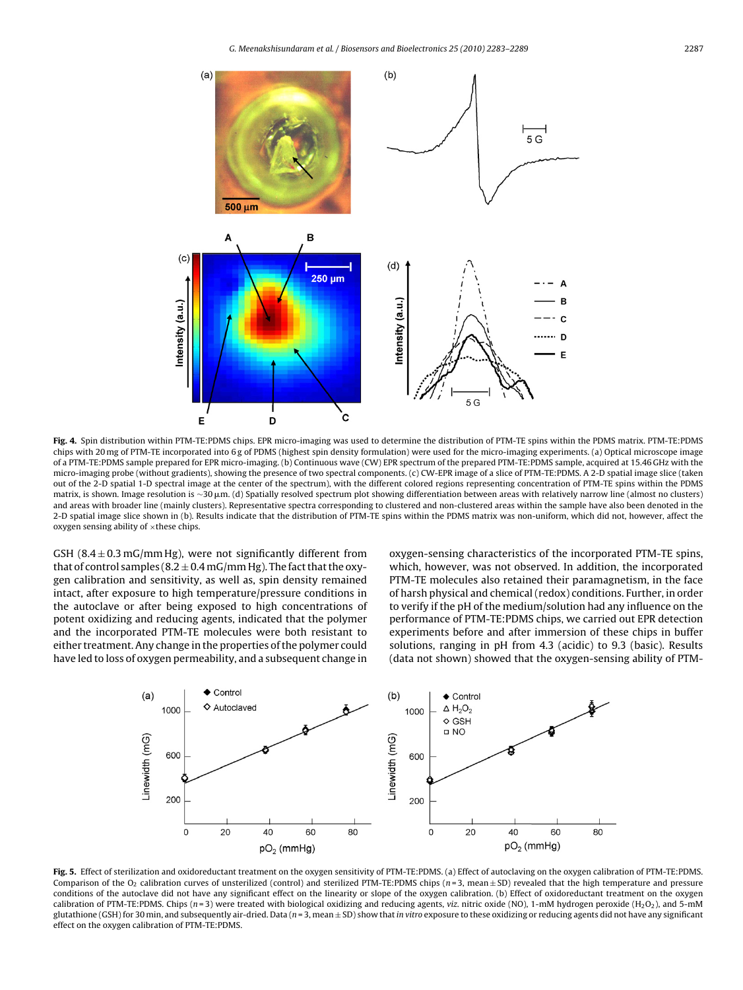<span id="page-4-0"></span>

**Fig. 4.** Spin distribution within PTM-TE:PDMS chips. EPR micro-imaging was used to determine the distribution of PTM-TE spins within the PDMS matrix. PTM-TE:PDMS chips with 20 mg of PTM-TE incorporated into 6 g of PDMS (highest spin density formulation) were used for the micro-imaging experiments. (a) Optical microscope image of a PTM-TE:PDMS sample prepared for EPR micro-imaging. (b) Continuous wave (CW) EPR spectrum of the prepared PTM-TE:PDMS sample, acquired at 15.46 GHz with the micro-imaging probe (without gradients), showing the presence of two spectral components. (c) CW-EPR image of a slice of PTM-TE:PDMS. A 2-D spatial image slice (taken out of the 2-D spatial 1-D spectral image at the center of the spectrum), with the different colored regions representing concentration of PTM-TE spins within the PDMS matrix, is shown. Image resolution is ~30 μm. (d) Spatially resolved spectrum plot showing differentiation between areas with relatively narrow line (almost no clusters) and areas with broader line (mainly clusters). Representative spectra corresponding to clustered and non-clustered areas within the sample have also been denoted in the 2-D spatial image slice shown in (b). Results indicate that the distribution of PTM-TE spins within the PDMS matrix was non-uniform, which did not, however, affect the oxygen sensing ability of  $\times$ these chips.

GSH (8.4  $\pm$  0.3 mG/mm Hg), were not significantly different from that of control samples ( $8.2 \pm 0.4$  mG/mm Hg). The fact that the oxygen calibration and sensitivity, as well as, spin density remained intact, after exposure to high temperature/pressure conditions in the autoclave or after being exposed to high concentrations of potent oxidizing and reducing agents, indicated that the polymer and the incorporated PTM-TE molecules were both resistant to either treatment. Any change in the properties of the polymer could have led to loss of oxygen permeability, and a subsequent change in oxygen-sensing characteristics of the incorporated PTM-TE spins, which, however, was not observed. In addition, the incorporated PTM-TE molecules also retained their paramagnetism, in the face of harsh physical and chemical (redox) conditions. Further, in order to verify if the pH of the medium/solution had any influence on the performance of PTM-TE:PDMS chips, we carried out EPR detection experiments before and after immersion of these chips in buffer solutions, ranging in pH from 4.3 (acidic) to 9.3 (basic). Results (data not shown) showed that the oxygen-sensing ability of PTM-



**Fig. 5.** Effect of sterilization and oxidoreductant treatment on the oxygen sensitivity of PTM-TE:PDMS. (a) Effect of autoclaving on the oxygen calibration of PTM-TE:PDMS. Comparison of the O<sub>2</sub> calibration curves of unsterilized (control) and sterilized PTM-TE:PDMS chips ( $n=3$ , mean  $\pm$  SD) revealed that the high temperature and pressure conditions of the autoclave did not have any significant effect on the linearity or slope of the oxygen calibration. (b) Effect of oxidoreductant treatment on the oxygen calibration of PTM-TE:PDMS. Chips ( $n = 3$ ) were treated with biological oxidizing and reducing agents, viz. nitric oxide (NO), 1-mM hydrogen peroxide (H<sub>2</sub>O<sub>2</sub>), and 5-mM glutathione (GSH) for 30 min, and subsequently air-dried. Data ( $n=3$ , mean  $\pm$  SD) show that in vitro exposure to these oxidizing or reducing agents did not have any significant effect on the oxygen calibration of PTM-TE:PDMS.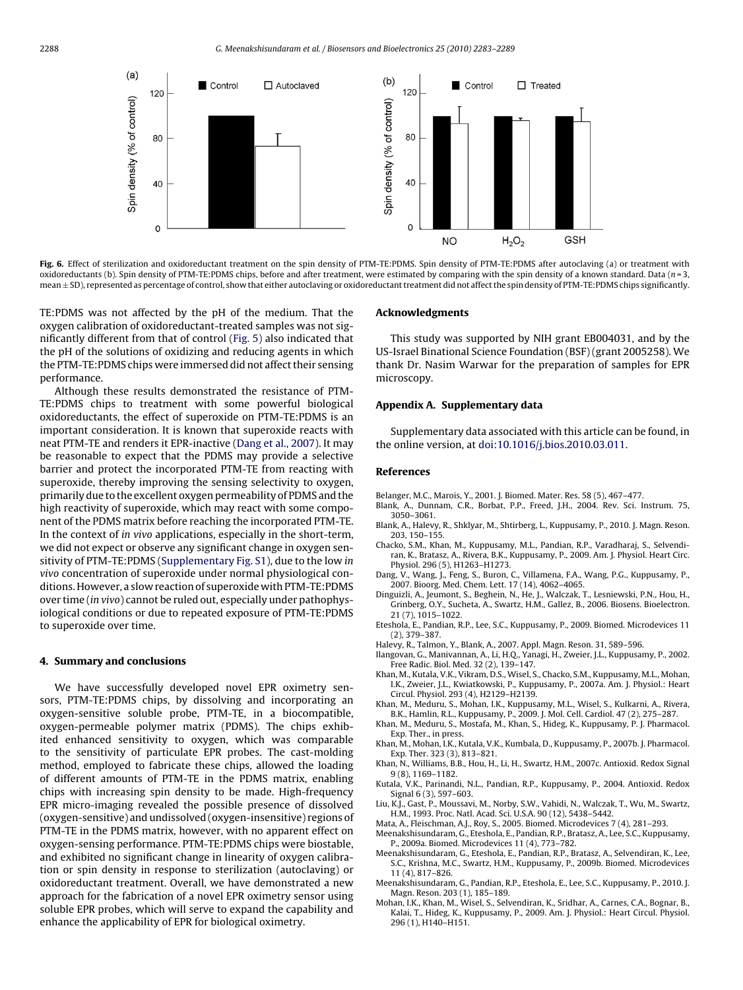<span id="page-5-0"></span>

Fig. 6. Effect of sterilization and oxidoreductant treatment on the spin density of PTM-TE:PDMS. Spin density of PTM-TE:PDMS after autoclaving (a) or treatment with oxidoreductants (b). Spin density of PTM-TE:PDMS chips, before and after treatment, were estimated by comparing with the spin density of a known standard. Data ( $n=3$ , mean ± SD), represented as percentage of control, show that either autoclaving or oxidoreductant treatment did not affect the spin density of PTM-TE:PDMS chips significantly.

TE:PDMS was not affected by the pH of the medium. That the oxygen calibration of oxidoreductant-treated samples was not significantly different from that of control ([Fig. 5\)](#page-4-0) also indicated that the pH of the solutions of oxidizing and reducing agents in which the PTM-TE:PDMS chips were immersed did not affect their sensing performance.

Although these results demonstrated the resistance of PTM-TE:PDMS chips to treatment with some powerful biological oxidoreductants, the effect of superoxide on PTM-TE:PDMS is an important consideration. It is known that superoxide reacts with neat PTM-TE and renders it EPR-inactive (Dang et al., 2007). It may be reasonable to expect that the PDMS may provide a selective barrier and protect the incorporated PTM-TE from reacting with superoxide, thereby improving the sensing selectivity to oxygen, primarily due to the excellent oxygen permeability of PDMS and the high reactivity of superoxide, which may react with some component of the PDMS matrix before reaching the incorporated PTM-TE. In the context of in vivo applications, especially in the short-term, we did not expect or observe any significant change in oxygen sensitivity of PTM-TE:PDMS (Supplementary Fig. S1), due to the low in vivo concentration of superoxide under normal physiological conditions. However, a slow reaction of superoxide with PTM-TE:PDMS over time (in vivo) cannot be ruled out, especially under pathophysiological conditions or due to repeated exposure of PTM-TE:PDMS to superoxide over time.

#### **4. Summary and conclusions**

We have successfully developed novel EPR oximetry sensors, PTM-TE:PDMS chips, by dissolving and incorporating an oxygen-sensitive soluble probe, PTM-TE, in a biocompatible, oxygen-permeable polymer matrix (PDMS). The chips exhibited enhanced sensitivity to oxygen, which was comparable to the sensitivity of particulate EPR probes. The cast-molding method, employed to fabricate these chips, allowed the loading of different amounts of PTM-TE in the PDMS matrix, enabling chips with increasing spin density to be made. High-frequency EPR micro-imaging revealed the possible presence of dissolved (oxygen-sensitive) and undissolved (oxygen-insensitive) regions of PTM-TE in the PDMS matrix, however, with no apparent effect on oxygen-sensing performance. PTM-TE:PDMS chips were biostable, and exhibited no significant change in linearity of oxygen calibration or spin density in response to sterilization (autoclaving) or oxidoreductant treatment. Overall, we have demonstrated a new approach for the fabrication of a novel EPR oximetry sensor using soluble EPR probes, which will serve to expand the capability and enhance the applicability of EPR for biological oximetry.

#### **Acknowledgments**

This study was supported by NIH grant EB004031, and by the US-Israel Binational Science Foundation (BSF) (grant 2005258). We thank Dr. Nasim Warwar for the preparation of samples for EPR microscopy.

#### **Appendix A. Supplementary data**

Supplementary data associated with this article can be found, in the online version, at [doi:10.1016/j.bios.2010.03.011](http://dx.doi.org/10.1016/j.bios.2010.03.011).

#### **References**

Belanger, M.C., Marois, Y., 2001. J. Biomed. Mater. Res. 58 (5), 467–477.

- Blank, A., Dunnam, C.R., Borbat, P.P., Freed, J.H., 2004. Rev. Sci. Instrum. 75, 3050–3061.
- Blank, A., Halevy, R., Shklyar, M., Shtirberg, L., Kuppusamy, P., 2010. J. Magn. Reson. 203, 150–155.
- Chacko, S.M., Khan, M., Kuppusamy, M.L., Pandian, R.P., Varadharaj, S., Selvendiran, K., Bratasz, A., Rivera, B.K., Kuppusamy, P., 2009. Am. J. Physiol. Heart Circ. Physiol. 296 (5), H1263–H1273.
- Dang, V., Wang, J., Feng, S., Buron, C., Villamena, F.A., Wang, P.G., Kuppusamy, P., 2007. Bioorg. Med. Chem. Lett. 17 (14), 4062–4065.
- Dinguizli, A., Jeumont, S., Beghein, N., He, J., Walczak, T., Lesniewski, P.N., Hou, H., Grinberg, O.Y., Sucheta, A., Swartz, H.M., Gallez, B., 2006. Biosens. Bioelectron. 21 (7), 1015–1022.
- Eteshola, E., Pandian, R.P., Lee, S.C., Kuppusamy, P., 2009. Biomed. Microdevices 11 (2), 379–387.
- Halevy, R., Talmon, Y., Blank, A., 2007. Appl. Magn. Reson. 31, 589–596.
- Ilangovan, G., Manivannan, A., Li, H.Q., Yanagi, H., Zweier, J.L., Kuppusamy, P., 2002. Free Radic. Biol. Med. 32 (2), 139–147.
- Khan, M., Kutala, V.K., Vikram, D.S., Wisel, S., Chacko, S.M., Kuppusamy, M.L., Mohan, I.K., Zweier, J.L., Kwiatkowski, P., Kuppusamy, P., 2007a. Am. J. Physiol.: Heart Circul. Physiol. 293 (4), H2129–H2139.
- Khan, M., Meduru, S., Mohan, I.K., Kuppusamy, M.L., Wisel, S., Kulkarni, A., Rivera, B.K., Hamlin, R.L., Kuppusamy, P., 2009. J. Mol. Cell. Cardiol. 47 (2), 275–287.
- Khan, M., Meduru, S., Mostafa, M., Khan, S., Hideg, K., Kuppusamy, P. J. Pharmacol. Exp. Ther., in press.
- Khan, M., Mohan, I.K., Kutala, V.K., Kumbala, D., Kuppusamy, P., 2007b. J. Pharmacol. Exp. Ther. 323 (3), 813–821.
- Khan, N., Williams, B.B., Hou, H., Li, H., Swartz, H.M., 2007c. Antioxid. Redox Signal 9 (8), 1169–1182.
- Kutala, V.K., Parinandi, N.L., Pandian, R.P., Kuppusamy, P., 2004. Antioxid. Redox Signal 6 (3), 597–603.
- Liu, K.J., Gast, P., Moussavi, M., Norby, S.W., Vahidi, N., Walczak, T., Wu, M., Swartz, H.M., 1993. Proc. Natl. Acad. Sci. U.S.A. 90 (12), 5438–5442.
- Mata, A., Fleischman, A.J., Roy, S., 2005. Biomed. Microdevices 7 (4), 281–293. Meenakshisundaram, G., Eteshola, E., Pandian, R.P., Bratasz, A., Lee, S.C., Kuppusamy,
- P., 2009a. Biomed. Microdevices 11 (4), 773–782. Meenakshisundaram, G., Eteshola, E., Pandian, R.P., Bratasz, A., Selvendiran, K., Lee,
- S.C., Krishna, M.C., Swartz, H.M., Kuppusamy, P., 2009b. Biomed. Microdevices 11 (4), 817–826.
- Meenakshisundaram, G., Pandian, R.P., Eteshola, E., Lee, S.C., Kuppusamy, P., 2010. J. Magn. Reson. 203 (1), 185–189.
- Mohan, I.K., Khan, M., Wisel, S., Selvendiran, K., Sridhar, A., Carnes, C.A., Bognar, B., Kalai, T., Hideg, K., Kuppusamy, P., 2009. Am. J. Physiol.: Heart Circul. Physiol. 296 (1), H140–H151.